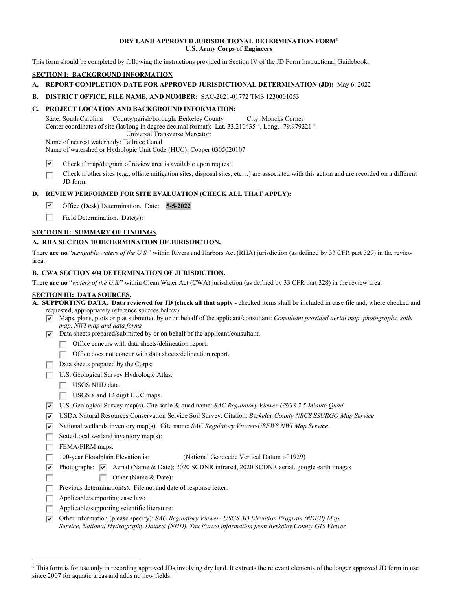#### **DRY LAND APPROVED JURISDICTIONAL DETERMINATION FORM1 U.S. Army Corps of Engineers**

This form should be completed by following the instructions provided in Section IV of the JD Form Instructional Guidebook.

# **SECTION I: BACKGROUND INFORMATION**

- **A. REPORT COMPLETION DATE FOR APPROVED JURISDICTIONAL DETERMINATION (JD):** May 6, 2022
- **B. DISTRICT OFFICE, FILE NAME, AND NUMBER:** SAC-2021-01772 TMS 1230001053

### **C. PROJECT LOCATION AND BACKGROUND INFORMATION:**

State: South Carolina County/parish/borough: Berkeley County City: Moncks Corner Center coordinates of site (lat/long in degree decimal format): Lat. 33.210435 °, Long. -79.979221 ° Universal Transverse Mercator:

Name of nearest waterbody: Tailrace Canal Name of watershed or Hydrologic Unit Code (HUC): Cooper 0305020107

- ⊽ Check if map/diagram of review area is available upon request.
- Check if other sites (e.g., offsite mitigation sites, disposal sites, etc…) are associated with this action and are recorded on a different г JD form.

#### **D. REVIEW PERFORMED FOR SITE EVALUATION (CHECK ALL THAT APPLY):**

- ⊽ Office (Desk) Determination. Date: **5-5-2022**
- П. Field Determination. Date(s):

#### **SECTION II: SUMMARY OF FINDINGS**

#### **A. RHA SECTION 10 DETERMINATION OF JURISDICTION.**

There **are no** "*navigable waters of the U.S.*" within Rivers and Harbors Act (RHA) jurisdiction (as defined by 33 CFR part 329) in the review area.

#### **B. CWA SECTION 404 DETERMINATION OF JURISDICTION.**

There **are no** "*waters of the U.S.*" within Clean Water Act (CWA) jurisdiction (as defined by 33 CFR part 328) in the review area.

## **SECTION III: DATA SOURCES.**

- **A. SUPPORTING DATA. Data reviewed for JD (check all that apply** checked items shall be included in case file and, where checked and requested, appropriately reference sources below):
	- Maps, plans, plots or plat submitted by or on behalf of the applicant/consultant: *Consultant provided aerial map, photographs, soils map, NWI map and data forms*
	- $\overline{|\mathbf{v}|}$  Data sheets prepared/submitted by or on behalf of the applicant/consultant.
		- Office concurs with data sheets/delineation report.
		- Office does not concur with data sheets/delineation report.
	- $\Box$  Data sheets prepared by the Corps:
	- U.S. Geological Survey Hydrologic Atlas:
		- USGS NHD data.
		- $\Box$  USGS 8 and 12 digit HUC maps.
	- U.S. Geological Survey map(s). Cite scale & quad name: *SAC Regulatory Viewer USGS 7.5 Minute Quad*
	- USDA Natural Resources Conservation Service Soil Survey. Citation: *Berkeley County NRCS SSURGO Map Service*
	- National wetlands inventory map(s). Cite name: *SAC Regulatory Viewer-USFWS NWI Map Service*
	- State/Local wetland inventory map(s):

FEMA/FIRM maps:

- 100-year Floodplain Elevation is: (National Geodectic Vertical Datum of 1929) п.
- Photographs:  $\overline{V}$  Aerial (Name & Date): 2020 SCDNR infrared, 2020 SCDNR aerial, google earth images п Other (Name & Date):
- Previous determination(s). File no. and date of response letter:
- $\Box$  Applicable/supporting case law:
- $\Box$  Applicable/supporting scientific literature:
- Other information (please specify): *SAC Regulatory Viewer- USGS 3D Elevation Program (#DEP) Map Service, National Hydrography Dataset (NHD), Tax Parcel information from Berkeley County GIS Viewer*

<sup>&</sup>lt;sup>1</sup> This form is for use only in recording approved JDs involving dry land. It extracts the relevant elements of the longer approved JD form in use since 2007 for aquatic areas and adds no new fields.